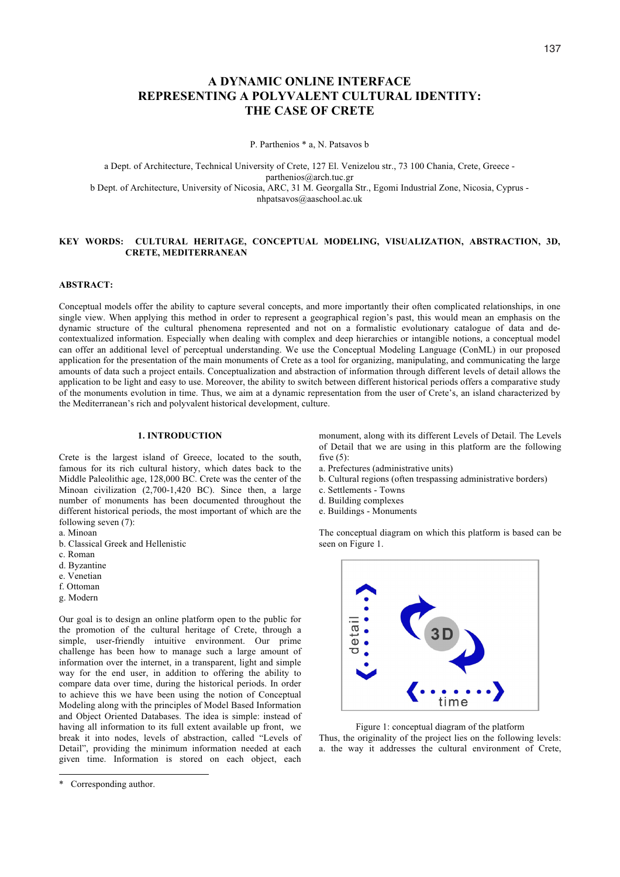# **A DYNAMIC ONLINE INTERFACE REPRESENTING A POLYVALENT CULTURAL IDENTITY: THE CASE OF CRETE**

P. Parthenios \* a, N. Patsavos b

a Dept. of Architecture, Technical University of Crete, 127 El. Venizelou str., 73 100 Chania, Crete, Greece parthenios@arch.tuc.gr b Dept. of Architecture, University of Nicosia, ARC, 31 M. Georgalla Str., Egomi Industrial Zone, Nicosia, Cyprus nhpatsavos@aaschool.ac.uk

#### **KEY WORDS: CULTURAL HERITAGE, CONCEPTUAL MODELING, VISUALIZATION, ABSTRACTION, 3D, CRETE, MEDITERRANEAN**

#### **ABSTRACT:**

Conceptual models offer the ability to capture several concepts, and more importantly their often complicated relationships, in one single view. When applying this method in order to represent a geographical region's past, this would mean an emphasis on the dynamic structure of the cultural phenomena represented and not on a formalistic evolutionary catalogue of data and decontextualized information. Especially when dealing with complex and deep hierarchies or intangible notions, a conceptual model can offer an additional level of perceptual understanding. We use the Conceptual Modeling Language (ConML) in our proposed application for the presentation of the main monuments of Crete as a tool for organizing, manipulating, and communicating the large amounts of data such a project entails. Conceptualization and abstraction of information through different levels of detail allows the application to be light and easy to use. Moreover, the ability to switch between different historical periods offers a comparative study of the monuments evolution in time. Thus, we aim at a dynamic representation from the user of Crete's, an island characterized by the Mediterranean's rich and polyvalent historical development, culture.

### **1. INTRODUCTION**

Crete is the largest island of Greece, located to the south, famous for its rich cultural history, which dates back to the Middle Paleolithic age, 128,000 BC. Crete was the center of the Minoan civilization (2,700-1,420 BC). Since then, a large number of monuments has been documented throughout the different historical periods, the most important of which are the following seven (7):

- a. Minoan
- b. Classical Greek and Hellenistic
- c. Roman
- d. Byzantine
- e. Venetian
- f. Ottoman
- g. Modern

Our goal is to design an online platform open to the public for the promotion of the cultural heritage of Crete, through a simple, user-friendly intuitive environment. Our prime challenge has been how to manage such a large amount of information over the internet, in a transparent, light and simple way for the end user, in addition to offering the ability to compare data over time, during the historical periods. In order to achieve this we have been using the notion of Conceptual Modeling along with the principles of Model Based Information and Object Oriented Databases. The idea is simple: instead of having all information to its full extent available up front, we break it into nodes, levels of abstraction, called "Levels of Detail", providing the minimum information needed at each given time. Information is stored on each object, each

-

monument, along with its different Levels of Detail. The Levels of Detail that we are using in this platform are the following five  $(5)$ :

- a. Prefectures (administrative units)
- b. Cultural regions (often trespassing administrative borders)
- c. Settlements Towns
- d. Building complexes
- e. Buildings Monuments

The conceptual diagram on which this platform is based can be seen on Figure 1.



Figure 1: conceptual diagram of the platform Thus, the originality of the project lies on the following levels: a. the way it addresses the cultural environment of Crete,

<sup>\*</sup> Corresponding author.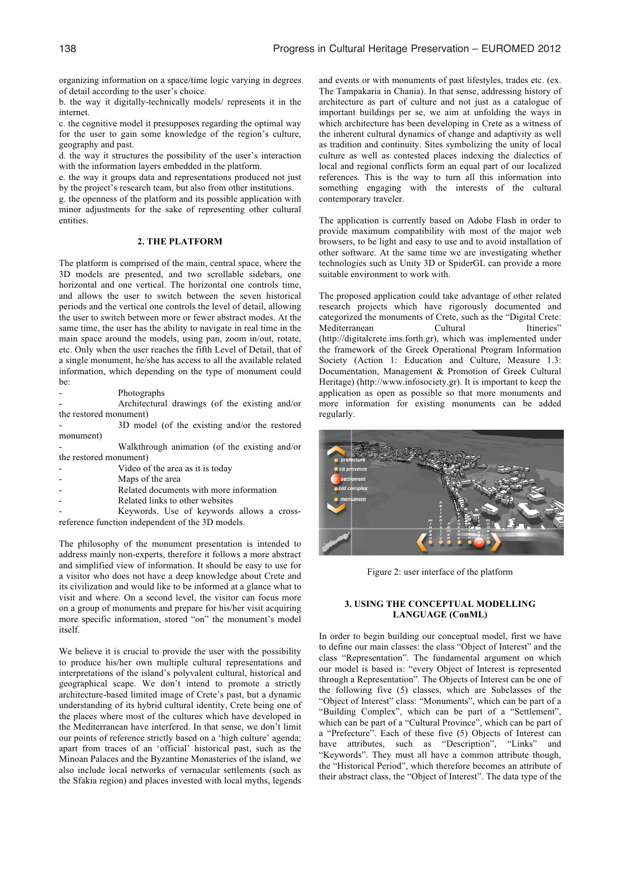organizing information on a space/time logic varying in degrees of detail according to the user's choice.

b. the way it digitally-technically models/ represents it in the internet.

c. the cognitive model it presupposes regarding the optimal way for the user to gain some knowledge of the region's culture, geography and past.

d. the way it structures the possibility of the user's interaction with the information layers embedded in the platform.

e. the way it groups data and representations produced not just by the project's research team, but also from other institutions.

g. the openness of the platform and its possible application with minor adjustments for the sake of representing other cultural entities.

#### **2. THE PLATFORM**

The platform is comprised of the main, central space, where the 3D models are presented, and two scrollable sidebars, one horizontal and one vertical. The horizontal one controls time, and allows the user to switch between the seven historical periods and the vertical one controls the level of detail, allowing the user to switch between more or fewer abstract modes. At the same time, the user has the ability to navigate in real time in the main space around the models, using pan, zoom in/out, rotate, etc. Only when the user reaches the fifth Level of Detail, that of a single monument, he/she has access to all the available related information, which depending on the type of monument could be:

**Photographs** 

- Architectural drawings (of the existing and/or the restored monument)

- 3D model (of the existing and/or the restored monument)

- Walkthrough animation (of the existing and/or the restored monument)

- Video of the area as it is today
- Maps of the area
- Related documents with more information
- Related links to other websites

Keywords. Use of keywords allows a crossreference function independent of the 3D models.

The philosophy of the monument presentation is intended to address mainly non-experts, therefore it follows a more abstract and simplified view of information. It should be easy to use for a visitor who does not have a deep knowledge about Crete and its civilization and would like to be informed at a glance what to visit and where. On a second level, the visitor can focus more on a group of monuments and prepare for his/her visit acquiring more specific information, stored "on" the monument's model itself.

We believe it is crucial to provide the user with the possibility to produce his/her own multiple cultural representations and interpretations of the island's polyvalent cultural, historical and geographical scape. We don't intend to promote a strictly architecture-based limited image of Crete's past, but a dynamic understanding of its hybrid cultural identity, Crete being one of the places where most of the cultures which have developed in the Mediterranean have interfered. In that sense, we don't limit our points of reference strictly based on a 'high culture' agenda; apart from traces of an 'official' historical past, such as the Minoan Palaces and the Byzantine Monasteries of the island, we also include local networks of vernacular settlements (such as the Sfakia region) and places invested with local myths, legends

and events or with monuments of past lifestyles, trades etc. (ex. The Tampakaria in Chania). In that sense, addressing history of architecture as part of culture and not just as a catalogue of important buildings per se, we aim at unfolding the ways in which architecture has been developing in Crete as a witness of the inherent cultural dynamics of change and adaptivity as well as tradition and continuity. Sites symbolizing the unity of local culture as well as contested places indexing the dialectics of local and regional conflicts form an equal part of our localized references. This is the way to turn all this information into something engaging with the interests of the cultural contemporary traveler.

The application is currently based on Adobe Flash in order to provide maximum compatibility with most of the major web browsers, to be light and easy to use and to avoid installation of other software. At the same time we are investigating whether technologies such as Unity 3D or SpiderGL can provide a more suitable environment to work with.

The proposed application could take advantage of other related research projects which have rigorously documented and categorized the monuments of Crete, such as the "Digital Crete: Mediterranean (http://digitalcrete.ims.forth.gr), which was implemented under the framework of the Greek Operational Program Information Society (Action 1: Education and Culture, Measure 1.3: Documentation, Management & Promotion of Greek Cultural Heritage) (http://www.infosociety.gr). It is important to keep the application as open as possible so that more monuments and more information for existing monuments can be added regularly.



Figure 2: user interface of the platform

## **3. USING THE CONCEPTUAL MODELLING LANGUAGE (ConML)**

In order to begin building our conceptual model, first we have to define our main classes: the class "Object of Interest" and the class "Representation". The fundamental argument on which our model is based is: "every Object of Interest is represented through a Representation". The Objects of Interest can be one of the following five (5) classes, which are Subclasses of the "Object of Interest" class: "Monuments", which can be part of a "Building Complex", which can be part of a "Settlement", which can be part of a "Cultural Province", which can be part of a "Prefecture". Each of these five (5) Objects of Interest can have attributes, such as "Description", "Links" and "Keywords". They must all have a common attribute though, the "Historical Period", which therefore becomes an attribute of their abstract class, the "Object of Interest". The data type of the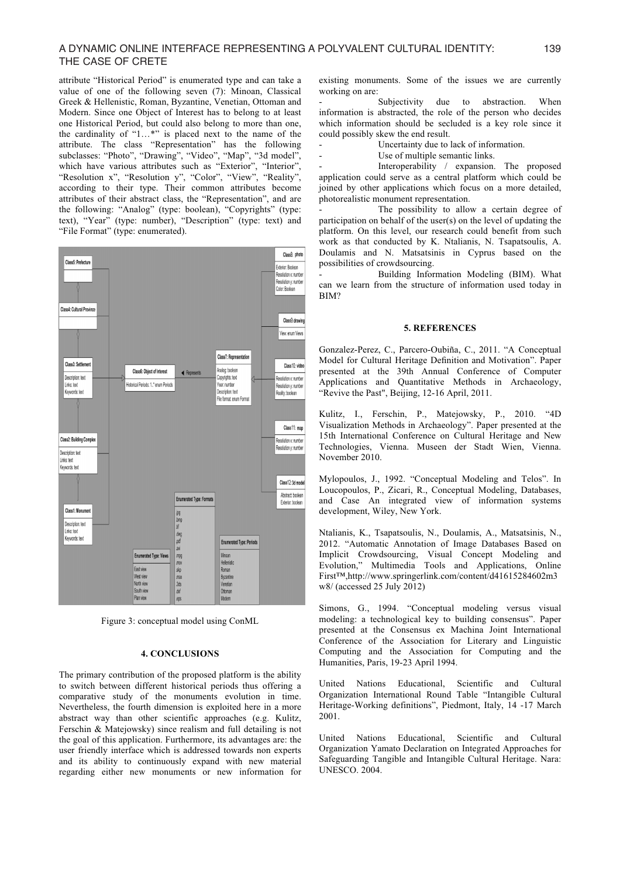# A DYNAMIC ONLINE INTERFACE REPRESENTING A POLYVALENT CULTURAL IDENTITY: 139 THE CASE OF CRETE

attribute "Historical Period" is enumerated type and can take a value of one of the following seven (7): Minoan, Classical Greek & Hellenistic, Roman, Byzantine, Venetian, Ottoman and Modern. Since one Object of Interest has to belong to at least one Historical Period, but could also belong to more than one, the cardinality of "1…\*" is placed next to the name of the attribute. The class "Representation" has the following subclasses: "Photo", "Drawing", "Video", "Map", "3d model", which have various attributes such as "Exterior", "Interior", "Resolution x", "Resolution y", "Color", "View", "Reality", according to their type. Their common attributes become attributes of their abstract class, the "Representation", and are the following: "Analog" (type: boolean), "Copyrights" (type: text), "Year" (type: number), "Description" (type: text) and "File Format" (type: enumerated).



Figure 3: conceptual model using ConML

#### **4. CONCLUSIONS**

The primary contribution of the proposed platform is the ability to switch between different historical periods thus offering a comparative study of the monuments evolution in time. Nevertheless, the fourth dimension is exploited here in a more abstract way than other scientific approaches (e.g. Kulitz, Ferschin & Matejowsky) since realism and full detailing is not the goal of this application. Furthermore, its advantages are: the user friendly interface which is addressed towards non experts and its ability to continuously expand with new material regarding either new monuments or new information for existing monuments. Some of the issues we are currently working on are:

Subjectivity due to abstraction. When information is abstracted, the role of the person who decides which information should be secluded is a key role since it could possibly skew the end result.

Uncertainty due to lack of information.

Use of multiple semantic links.

Interoperability / expansion. The proposed application could serve as a central platform which could be joined by other applications which focus on a more detailed, photorealistic monument representation.

The possibility to allow a certain degree of participation on behalf of the user(s) on the level of updating the platform. On this level, our research could benefit from such work as that conducted by K. Ntalianis, N. Tsapatsoulis, A. Doulamis and N. Matsatsinis in Cyprus based on the possibilities of crowdsourcing.

Building Information Modeling (BIM). What can we learn from the structure of information used today in BIM?

#### **5. REFERENCES**

Gonzalez-Perez, C., Parcero-Oubiña, C., 2011. "A Conceptual Model for Cultural Heritage Definition and Motivation". Paper presented at the 39th Annual Conference of Computer Applications and Quantitative Methods in Archaeology, "Revive the Past", Beijing, 12-16 April, 2011.

Kulitz, I., Ferschin, P., Matejowsky, P., 2010. "4D Visualization Methods in Archaeology". Paper presented at the 15th International Conference on Cultural Heritage and New Technologies, Vienna. Museen der Stadt Wien, Vienna. November 2010.

Mylopoulos, J., 1992. "Conceptual Modeling and Telos". In Loucopoulos, P., Zicari, R., Conceptual Modeling, Databases, and Case An integrated view of information systems development, Wiley, New York.

Ntalianis, K., Tsapatsoulis, N., Doulamis, A., Matsatsinis, N., 2012. "Automatic Annotation of Image Databases Based on Implicit Crowdsourcing, Visual Concept Modeling and Evolution," Multimedia Tools and Applications, Online First™,http://www.springerlink.com/content/d41615284602m3 w8/ (accessed 25 July 2012)

Simons, G., 1994. "Conceptual modeling versus visual modeling: a technological key to building consensus". Paper presented at the Consensus ex Machina Joint International Conference of the Association for Literary and Linguistic Computing and the Association for Computing and the Humanities, Paris, 19-23 April 1994.

United Nations Educational, Scientific and Cultural Organization International Round Table "Intangible Cultural Heritage-Working definitions", Piedmont, Italy, 14 -17 March 2001.

United Nations Educational, Scientific and Cultural Organization Yamato Declaration on Integrated Approaches for Safeguarding Tangible and Intangible Cultural Heritage. Nara: UNESCO. 2004.